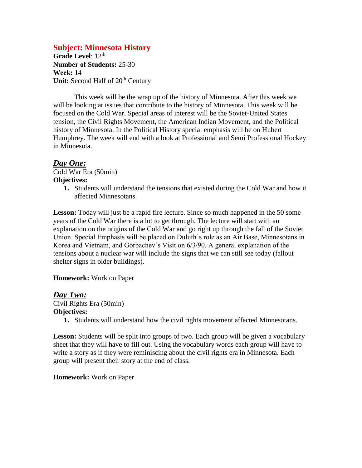# **Subject: Minnesota History**

Grade Level: 12<sup>th</sup> **Number of Students:** 25-30 **Week:** 14 **Unit:** Second Half of 20<sup>th</sup> Century

This week will be the wrap up of the history of Minnesota. After this week we will be looking at issues that contribute to the history of Minnesota. This week will be focused on the Cold War. Special areas of interest will be the Soviet-United States tension, the Civil Rights Movement, the American Indian Movement, and the Political history of Minnesota. In the Political History special emphasis will be on Hubert Humphrey. The week will end with a look at Professional and Semi Professional Hockey in Minnesota.

# *Day One:*

Cold War Era (50min) **Objectives:**

> **1.** Students will understand the tensions that existed during the Cold War and how it affected Minnesotans.

Lesson: Today will just be a rapid fire lecture. Since so much happened in the 50 some years of the Cold War there is a lot to get through. The lecture will start with an explanation on the origins of the Cold War and go right up through the fall of the Soviet Union. Special Emphasis will be placed on Duluth's role as an Air Base, Minnesotans in Korea and Vietnam, and Gorbachev's Visit on 6/3/90. A general explanation of the tensions about a nuclear war will include the signs that we can still see today (fallout shelter signs in older buildings).

### **Homework:** Work on Paper

### *Day Two:*

Civil Rights Era (50min) **Objectives:**

**1.** Students will understand how the civil rights movement affected Minnesotans.

Lesson: Students will be split into groups of two. Each group will be given a vocabulary sheet that they will have to fill out. Using the vocabulary words each group will have to write a story as if they were reminiscing about the civil rights era in Minnesota. Each group will present their story at the end of class.

#### **Homework:** Work on Paper